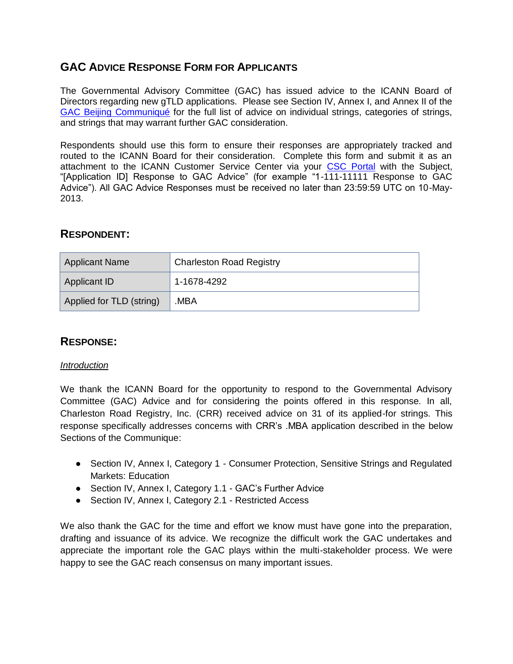# **GAC ADVICE RESPONSE FORM FOR APPLICANTS**

The Governmental Advisory Committee (GAC) has issued advice to the ICANN Board of Directors regarding new gTLD applications. Please see Section IV, Annex I, and Annex II of the [GAC Beijing Communiqué](http://www.icann.org/en/news/correspondence/gac-to-board-18apr13-en.pdf) for the full list of advice on individual strings, categories of strings, and strings that may warrant further GAC consideration.

Respondents should use this form to ensure their responses are appropriately tracked and routed to the ICANN Board for their consideration. Complete this form and submit it as an attachment to the ICANN Customer Service Center via your [CSC Portal](https://myicann.secure.force.com/) with the Subject, "[Application ID] Response to GAC Advice" (for example "1-111-11111 Response to GAC Advice"). All GAC Advice Responses must be received no later than 23:59:59 UTC on 10-May-2013.

## **RESPONDENT:**

| Applicant Name           | <b>Charleston Road Registry</b> |  |
|--------------------------|---------------------------------|--|
| Applicant ID             | $1-1678-4292$                   |  |
| Applied for TLD (string) | MBA.                            |  |

# **RESPONSE:**

#### *Introduction*

We thank the ICANN Board for the opportunity to respond to the Governmental Advisory Committee (GAC) Advice and for considering the points offered in this response. In all, Charleston Road Registry, Inc. (CRR) received advice on 31 of its applied-for strings. This response specifically addresses concerns with CRR's .MBA application described in the below Sections of the Communique:

- Section IV, Annex I, Category 1 Consumer Protection, Sensitive Strings and Regulated Markets: Education
- Section IV, Annex I, Category 1.1 GAC's Further Advice
- Section IV, Annex I, Category 2.1 Restricted Access

We also thank the GAC for the time and effort we know must have gone into the preparation, drafting and issuance of its advice. We recognize the difficult work the GAC undertakes and appreciate the important role the GAC plays within the multi-stakeholder process. We were happy to see the GAC reach consensus on many important issues.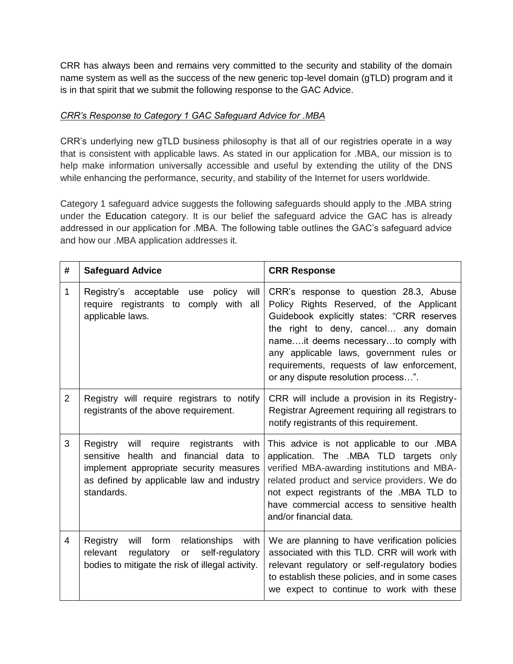CRR has always been and remains very committed to the security and stability of the domain name system as well as the success of the new generic top-level domain (gTLD) program and it is in that spirit that we submit the following response to the GAC Advice.

### *CRR's Response to Category 1 GAC Safeguard Advice for .MBA*

CRR's underlying new gTLD business philosophy is that all of our registries operate in a way that is consistent with applicable laws. As stated in our application for .MBA, our mission is to help make information universally accessible and useful by extending the utility of the DNS while enhancing the performance, security, and stability of the Internet for users worldwide.

Category 1 safeguard advice suggests the following safeguards should apply to the .MBA string under the Education category. It is our belief the safeguard advice the GAC has is already addressed in our application for .MBA. The following table outlines the GAC's safeguard advice and how our .MBA application addresses it.

| # | <b>Safeguard Advice</b>                                                                                                                                                                   | <b>CRR Response</b>                                                                                                                                                                                                                                                                                                                               |
|---|-------------------------------------------------------------------------------------------------------------------------------------------------------------------------------------------|---------------------------------------------------------------------------------------------------------------------------------------------------------------------------------------------------------------------------------------------------------------------------------------------------------------------------------------------------|
| 1 | Registry's acceptable<br>policy<br>will<br>use<br>require registrants to<br>comply with all<br>applicable laws.                                                                           | CRR's response to question 28.3, Abuse<br>Policy Rights Reserved, of the Applicant<br>Guidebook explicitly states: "CRR reserves<br>the right to deny, cancel any domain<br>nameit deems necessaryto comply with<br>any applicable laws, government rules or<br>requirements, requests of law enforcement,<br>or any dispute resolution process". |
| 2 | Registry will require registrars to notify<br>registrants of the above requirement.                                                                                                       | CRR will include a provision in its Registry-<br>Registrar Agreement requiring all registrars to<br>notify registrants of this requirement.                                                                                                                                                                                                       |
| 3 | Registry will require registrants<br>with<br>sensitive health and financial data to<br>implement appropriate security measures<br>as defined by applicable law and industry<br>standards. | This advice is not applicable to our .MBA<br>application. The .MBA TLD targets only<br>verified MBA-awarding institutions and MBA-<br>related product and service providers. We do<br>not expect registrants of the .MBA TLD to<br>have commercial access to sensitive health<br>and/or financial data.                                           |
| 4 | will form<br>Registry<br>relationships<br>with<br>regulatory<br>self-regulatory<br>relevant<br>or<br>bodies to mitigate the risk of illegal activity.                                     | We are planning to have verification policies<br>associated with this TLD. CRR will work with<br>relevant regulatory or self-regulatory bodies<br>to establish these policies, and in some cases<br>we expect to continue to work with these                                                                                                      |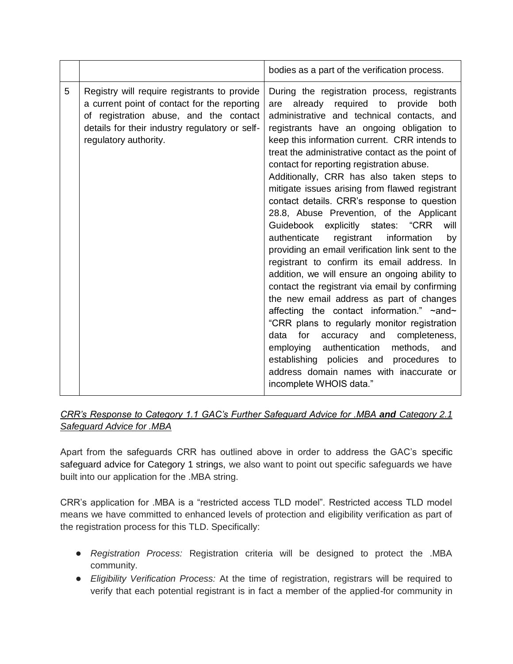|   |                                                                                                                                                                                                                   | bodies as a part of the verification process.                                                                                                                                                                                                                                                                                                                                                                                                                                                                                                                                                                                                                                                                                                                                                                                                                                                                                                                                                                                                                                                                                                                                                     |
|---|-------------------------------------------------------------------------------------------------------------------------------------------------------------------------------------------------------------------|---------------------------------------------------------------------------------------------------------------------------------------------------------------------------------------------------------------------------------------------------------------------------------------------------------------------------------------------------------------------------------------------------------------------------------------------------------------------------------------------------------------------------------------------------------------------------------------------------------------------------------------------------------------------------------------------------------------------------------------------------------------------------------------------------------------------------------------------------------------------------------------------------------------------------------------------------------------------------------------------------------------------------------------------------------------------------------------------------------------------------------------------------------------------------------------------------|
| 5 | Registry will require registrants to provide<br>a current point of contact for the reporting<br>of registration abuse, and the contact<br>details for their industry regulatory or self-<br>regulatory authority. | During the registration process, registrants<br>already required to provide<br>both<br>are<br>administrative and technical contacts, and<br>registrants have an ongoing obligation to<br>keep this information current. CRR intends to<br>treat the administrative contact as the point of<br>contact for reporting registration abuse.<br>Additionally, CRR has also taken steps to<br>mitigate issues arising from flawed registrant<br>contact details. CRR's response to question<br>28.8, Abuse Prevention, of the Applicant<br>Guidebook explicitly states: "CRR<br>will<br>registrant<br>information<br>authenticate<br>by<br>providing an email verification link sent to the<br>registrant to confirm its email address. In<br>addition, we will ensure an ongoing ability to<br>contact the registrant via email by confirming<br>the new email address as part of changes<br>affecting the contact information." ~and~<br>"CRR plans to regularly monitor registration<br>data<br>for<br>accuracy and<br>completeness,<br>employing authentication<br>methods, and<br>establishing policies and<br>procedures to<br>address domain names with inaccurate or<br>incomplete WHOIS data." |

## *CRR's Response to Category 1.1 GAC's Further Safeguard Advice for .MBA and Category 2.1 Safeguard Advice for .MBA*

Apart from the safeguards CRR has outlined above in order to address the GAC's specific safeguard advice for Category 1 strings, we also want to point out specific safeguards we have built into our application for the .MBA string.

CRR's application for .MBA is a "restricted access TLD model". Restricted access TLD model means we have committed to enhanced levels of protection and eligibility verification as part of the registration process for this TLD. Specifically:

- *Registration Process:* Registration criteria will be designed to protect the .MBA community.
- *Eligibility Verification Process:* At the time of registration, registrars will be required to verify that each potential registrant is in fact a member of the applied-for community in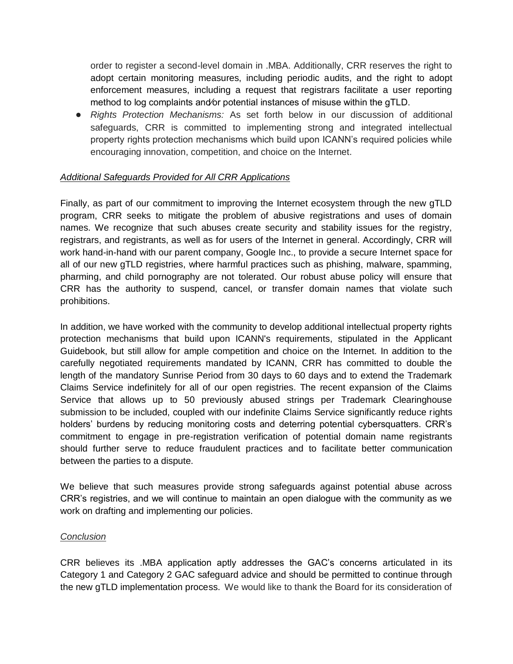order to register a second-level domain in .MBA. Additionally, CRR reserves the right to adopt certain monitoring measures, including periodic audits, and the right to adopt enforcement measures, including a request that registrars facilitate a user reporting method to log complaints and⁄or potential instances of misuse within the gTLD.

● *Rights Protection Mechanisms:* As set forth below in our discussion of additional safeguards, CRR is committed to implementing strong and integrated intellectual property rights protection mechanisms which build upon ICANN's required policies while encouraging innovation, competition, and choice on the Internet.

### *Additional Safeguards Provided for All CRR Applications*

Finally, as part of our commitment to improving the Internet ecosystem through the new gTLD program, CRR seeks to mitigate the problem of abusive registrations and uses of domain names. We recognize that such abuses create security and stability issues for the registry, registrars, and registrants, as well as for users of the Internet in general. Accordingly, CRR will work hand-in-hand with our parent company, Google Inc., to provide a secure Internet space for all of our new gTLD registries, where harmful practices such as phishing, malware, spamming, pharming, and child pornography are not tolerated. Our robust abuse policy will ensure that CRR has the authority to suspend, cancel, or transfer domain names that violate such prohibitions.

In addition, we have worked with the community to develop additional intellectual property rights protection mechanisms that build upon ICANN's requirements, stipulated in the Applicant Guidebook, but still allow for ample competition and choice on the Internet. In addition to the carefully negotiated requirements mandated by ICANN, CRR has committed to double the length of the mandatory Sunrise Period from 30 days to 60 days and to extend the Trademark Claims Service indefinitely for all of our open registries. The recent expansion of the Claims Service that allows up to 50 previously abused strings per Trademark Clearinghouse submission to be included, coupled with our indefinite Claims Service significantly reduce rights holders' burdens by reducing monitoring costs and deterring potential cybersquatters. CRR's commitment to engage in pre-registration verification of potential domain name registrants should further serve to reduce fraudulent practices and to facilitate better communication between the parties to a dispute.

We believe that such measures provide strong safeguards against potential abuse across CRR's registries, and we will continue to maintain an open dialogue with the community as we work on drafting and implementing our policies.

#### *Conclusion*

CRR believes its .MBA application aptly addresses the GAC's concerns articulated in its Category 1 and Category 2 GAC safeguard advice and should be permitted to continue through the new gTLD implementation process. We would like to thank the Board for its consideration of